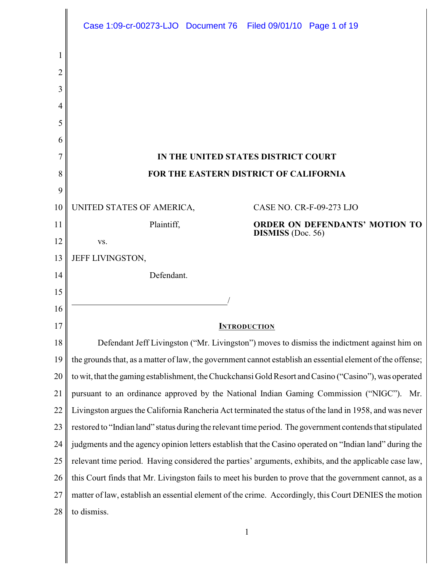|    | Case 1:09-cr-00273-LJO  Document 76  Filed 09/01/10  Page 1 of 19                                          |
|----|------------------------------------------------------------------------------------------------------------|
|    |                                                                                                            |
| 2  |                                                                                                            |
| 3  |                                                                                                            |
| 4  |                                                                                                            |
| 5  |                                                                                                            |
| 6  |                                                                                                            |
| 7  | IN THE UNITED STATES DISTRICT COURT                                                                        |
| 8  | FOR THE EASTERN DISTRICT OF CALIFORNIA                                                                     |
| 9  |                                                                                                            |
| 10 | UNITED STATES OF AMERICA,<br>CASE NO. CR-F-09-273 LJO                                                      |
| 11 | Plaintiff,<br><b>ORDER ON DEFENDANTS' MOTION TO</b>                                                        |
| 12 | <b>DISMISS</b> (Doc. 56)<br>VS.                                                                            |
| 13 | JEFF LIVINGSTON,                                                                                           |
| 14 | Defendant.                                                                                                 |
| 15 |                                                                                                            |
| 16 |                                                                                                            |
| 17 | <b>INTRODUCTION</b>                                                                                        |
| 18 | Defendant Jeff Livingston ("Mr. Livingston") moves to dismiss the indictment against him on                |
| 19 | the grounds that, as a matter of law, the government cannot establish an essential element of the offense; |
| 20 | to wit, that the gaming establishment, the Chuckchansi Gold Resort and Casino ("Casino"), was operated     |
| 21 | pursuant to an ordinance approved by the National Indian Gaming Commission ("NIGC"). Mr.                   |
| 22 | Livingston argues the California Rancheria Act terminated the status of the land in 1958, and was never    |
| 23 | restored to "Indian land" status during the relevant time period. The government contends that stipulated  |
| 24 | judgments and the agency opinion letters establish that the Casino operated on "Indian land" during the    |
| 25 | relevant time period. Having considered the parties' arguments, exhibits, and the applicable case law,     |
| 26 | this Court finds that Mr. Livingston fails to meet his burden to prove that the government cannot, as a    |
| 27 | matter of law, establish an essential element of the crime. Accordingly, this Court DENIES the motion      |
| 28 | to dismiss.                                                                                                |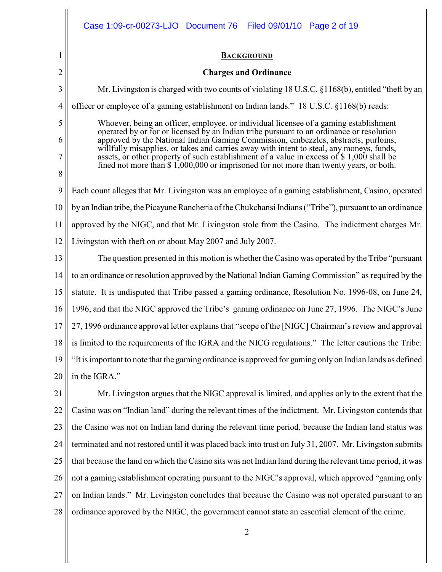|                | Case 1:09-cr-00273-LJO  Document 76  Filed 09/01/10  Page 2 of 19                                                                                                                  |
|----------------|------------------------------------------------------------------------------------------------------------------------------------------------------------------------------------|
| 1              | <b>BACKGROUND</b>                                                                                                                                                                  |
| $\overline{2}$ | <b>Charges and Ordinance</b>                                                                                                                                                       |
| 3              | Mr. Livingston is charged with two counts of violating 18 U.S.C. §1168(b), entitled "theft by an                                                                                   |
| 4              | officer or employee of a gaming establishment on Indian lands." 18 U.S.C. §1168(b) reads:                                                                                          |
| 5              | Whoever, being an officer, employee, or individual licensee of a gaming establishment<br>operated by or for or licensed by an Indian tribe pursuant to an ordinance or resolution  |
| 6              | approved by the National Indian Gaming Commission, embezzles, abstracts, purloins,<br>willfully misapplies, or takes and carries away with intent to steal, any moneys, funds,     |
| 7              | assets, or other property of such establishment of a value in excess of \$1,000 shall be<br>fined not more than \$1,000,000 or imprisoned for not more than twenty years, or both. |
| 8              |                                                                                                                                                                                    |
| 9              | Each count alleges that Mr. Livingston was an employee of a gaming establishment, Casino, operated                                                                                 |
| 10             | by an Indian tribe, the Picayune Rancheria of the Chukchansi Indians ("Tribe"), pursuant to an ordinance                                                                           |
| 11             | approved by the NIGC, and that Mr. Livingston stole from the Casino. The indictment charges Mr.                                                                                    |
| 12             | Livingston with theft on or about May 2007 and July 2007.                                                                                                                          |
| 13             | The question presented in this motion is whether the Casino was operated by the Tribe "pursuant"                                                                                   |
| 14             | to an ordinance or resolution approved by the National Indian Gaming Commission" as required by the                                                                                |
| 15             | statute. It is undisputed that Tribe passed a gaming ordinance, Resolution No. 1996-08, on June 24,                                                                                |
| 16             | 1996, and that the NIGC approved the Tribe's gaming ordinance on June 27, 1996. The NIGC's June                                                                                    |
| 17             | 27, 1996 ordinance approval letter explains that "scope of the [NIGC] Chairman's review and approval                                                                               |
| 18             | is limited to the requirements of the IGRA and the NICG regulations." The letter cautions the Tribe:                                                                               |
| 19             | "It is important to note that the gaming ordinance is approved for gaming only on Indian lands as defined                                                                          |
| 20             | in the IGRA."                                                                                                                                                                      |
| 21             | Mr. Livingston argues that the NIGC approval is limited, and applies only to the extent that the                                                                                   |
| 22             | Casino was on "Indian land" during the relevant times of the indictment. Mr. Livingston contends that                                                                              |
| 23             | the Casino was not on Indian land during the relevant time period, because the Indian land status was                                                                              |
| 24             | terminated and not restored until it was placed back into trust on July 31, 2007. Mr. Livingston submits                                                                           |
| 25             | that because the land on which the Casino sits was not Indian land during the relevant time period, it was                                                                         |
| 26             | not a gaming establishment operating pursuant to the NIGC's approval, which approved "gaming only                                                                                  |
| 27             | on Indian lands." Mr. Livingston concludes that because the Casino was not operated pursuant to an                                                                                 |
| 28             | ordinance approved by the NIGC, the government cannot state an essential element of the crime.                                                                                     |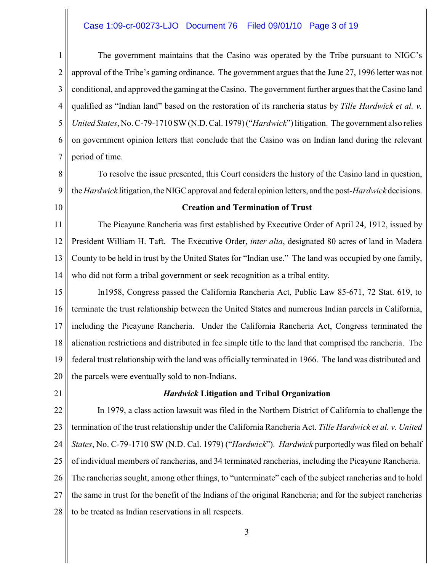#### Case 1:09-cr-00273-LJO Document 76 Filed 09/01/10 Page 3 of 19

3

5

4 6 The government maintains that the Casino was operated by the Tribe pursuant to NIGC's approval of the Tribe's gaming ordinance. The government argues that the June 27, 1996 letter was not conditional, and approved the gaming at the Casino. The government further argues that the Casino land qualified as "Indian land" based on the restoration of its rancheria status by *Tille Hardwick et al. v. United States*, No. C-79-1710 SW (N.D. Cal. 1979) ("*Hardwick*") litigation. The government also relies on government opinion letters that conclude that the Casino was on Indian land during the relevant period of time.

8

7

9 To resolve the issue presented, this Court considers the history of the Casino land in question, the *Hardwick* litigation, the NIGC approval and federal opinion letters, and the post-*Hardwick* decisions.

10

#### **Creation and Termination of Trust**

11 12 13 14 The Picayune Rancheria was first established by Executive Order of April 24, 1912, issued by President William H. Taft. The Executive Order, *inter alia*, designated 80 acres of land in Madera County to be held in trust by the United States for "Indian use." The land was occupied by one family, who did not form a tribal government or seek recognition as a tribal entity.

15 16 17 18 19 20 In1958, Congress passed the California Rancheria Act, Public Law 85-671, 72 Stat. 619, to terminate the trust relationship between the United States and numerous Indian parcels in California, including the Picayune Rancheria. Under the California Rancheria Act, Congress terminated the alienation restrictions and distributed in fee simple title to the land that comprised the rancheria. The federal trust relationship with the land was officially terminated in 1966. The land was distributed and the parcels were eventually sold to non-Indians.

21

## *Hardwick* **Litigation and Tribal Organization**

22 23 24 25 26 27 28 In 1979, a class action lawsuit was filed in the Northern District of California to challenge the termination of the trust relationship under the California Rancheria Act. *Tille Hardwick et al. v. United States*, No. C-79-1710 SW (N.D. Cal. 1979) ("*Hardwick*"). *Hardwick* purportedly was filed on behalf of individual members of rancherias, and 34 terminated rancherias, including the Picayune Rancheria. The rancherias sought, among other things, to "unterminate" each of the subject rancherias and to hold the same in trust for the benefit of the Indians of the original Rancheria; and for the subject rancherias to be treated as Indian reservations in all respects.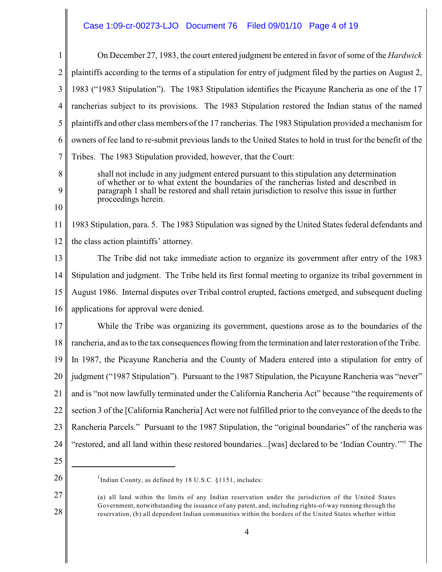# Case 1:09-cr-00273-LJO Document 76 Filed 09/01/10 Page 4 of 19

| 1              | On December 27, 1983, the court entered judgment be entered in favor of some of the <i>Hardwick</i>                                                                               |
|----------------|-----------------------------------------------------------------------------------------------------------------------------------------------------------------------------------|
| $\overline{2}$ | plaintiffs according to the terms of a stipulation for entry of judgment filed by the parties on August 2,                                                                        |
| 3              | 1983 ("1983 Stipulation"). The 1983 Stipulation identifies the Picayune Rancheria as one of the 17                                                                                |
| 4              | rancherias subject to its provisions. The 1983 Stipulation restored the Indian status of the named                                                                                |
| 5              | plaintiffs and other class members of the 17 rancherias. The 1983 Stipulation provided a mechanism for                                                                            |
| 6              | owners of fee land to re-submit previous lands to the United States to hold in trust for the benefit of the                                                                       |
| 7              | Tribes. The 1983 Stipulation provided, however, that the Court:                                                                                                                   |
| 8              | shall not include in any judgment entered pursuant to this stipulation any determination<br>of whether or to what extent the boundaries of the rancherias listed and described in |
| 9              | paragraph 1 shall be restored and shall retain jurisdiction to resolve this issue in further                                                                                      |
| 10             | proceedings herein.                                                                                                                                                               |
| 11             | 1983 Stipulation, para. 5. The 1983 Stipulation was signed by the United States federal defendants and                                                                            |
| 12             | the class action plaintiffs' attorney.                                                                                                                                            |
| 13             | The Tribe did not take immediate action to organize its government after entry of the 1983                                                                                        |
| 14             | Stipulation and judgment. The Tribe held its first formal meeting to organize its tribal government in                                                                            |
| 15             | August 1986. Internal disputes over Tribal control erupted, factions emerged, and subsequent dueling                                                                              |
| 16             | applications for approval were denied.                                                                                                                                            |
| 17             | While the Tribe was organizing its government, questions arose as to the boundaries of the                                                                                        |
| 18             | rancheria, and as to the tax consequences flowing from the termination and later restoration of the Tribe.                                                                        |
| 19             | In 1987, the Picayune Rancheria and the County of Madera entered into a stipulation for entry of                                                                                  |
| 20             | judgment ("1987 Stipulation"). Pursuant to the 1987 Stipulation, the Picayune Rancheria was "never"                                                                               |
| 21             | and is "not now lawfully terminated under the California Rancheria Act" because "the requirements of                                                                              |
| 22             | section 3 of the [California Rancheria] Act were not fulfilled prior to the conveyance of the deeds to the                                                                        |
| 23             | Rancheria Parcels." Pursuant to the 1987 Stipulation, the "original boundaries" of the rancheria was                                                                              |
| 24             | "restored, and all land within these restored boundaries[was] declared to be 'Indian Country." <sup>1</sup> The                                                                   |
| 25             |                                                                                                                                                                                   |
| 26             | <sup>1</sup> Indian County, as defined by 18 U.S.C. §1151, includes:                                                                                                              |
| 27             | (a) all land within the limits of any Indian reservation under the jurisdiction of the United States                                                                              |

(a) all land within the limits of any Indian reservation under the jurisdiction of the United States Government, notwithstanding the issuance of any patent, and, including rights-of-way running through the reservation, (b) all dependent Indian communities within the borders of the United States whether within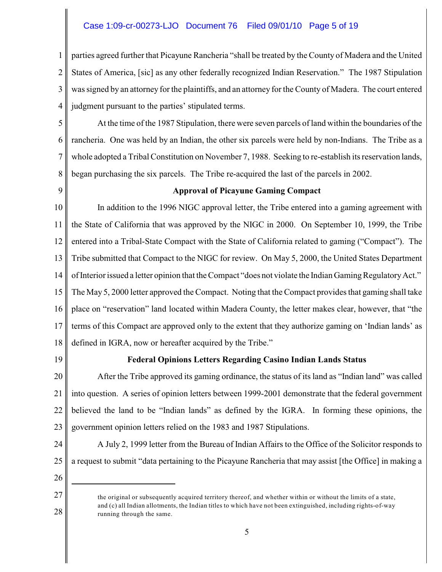### Case 1:09-cr-00273-LJO Document 76 Filed 09/01/10 Page 5 of 19

1 2 3 4 parties agreed further that Picayune Rancheria "shall be treated by the County of Madera and the United States of America, [sic] as any other federally recognized Indian Reservation." The 1987 Stipulation was signed by an attorney for the plaintiffs, and an attorney for the County of Madera. The court entered judgment pursuant to the parties' stipulated terms.

5 6 7 8 At the time of the 1987 Stipulation, there were seven parcels of land within the boundaries of the rancheria. One was held by an Indian, the other six parcels were held by non-Indians. The Tribe as a whole adopted a Tribal Constitution on November 7, 1988. Seeking to re-establish its reservation lands, began purchasing the six parcels. The Tribe re-acquired the last of the parcels in 2002.

9

#### **Approval of Picayune Gaming Compact**

10 11 12 13 14 15 16 17 18 In addition to the 1996 NIGC approval letter, the Tribe entered into a gaming agreement with the State of California that was approved by the NIGC in 2000. On September 10, 1999, the Tribe entered into a Tribal-State Compact with the State of California related to gaming ("Compact"). The Tribe submitted that Compact to the NIGC for review. On May 5, 2000, the United States Department of Interior issued a letter opinion that the Compact "does not violate the Indian GamingRegulatoryAct." The May 5, 2000 letter approved the Compact. Noting that the Compact provides that gaming shall take place on "reservation" land located within Madera County, the letter makes clear, however, that "the terms of this Compact are approved only to the extent that they authorize gaming on 'Indian lands' as defined in IGRA, now or hereafter acquired by the Tribe."

19

#### **Federal Opinions Letters Regarding Casino Indian Lands Status**

20 21 22 23 After the Tribe approved its gaming ordinance, the status of its land as "Indian land" was called into question. A series of opinion letters between 1999-2001 demonstrate that the federal government believed the land to be "Indian lands" as defined by the IGRA. In forming these opinions, the government opinion letters relied on the 1983 and 1987 Stipulations.

- 24 25 A July 2, 1999 letter from the Bureau of Indian Affairs to the Office of the Solicitor responds to a request to submit "data pertaining to the Picayune Rancheria that may assist [the Office] in making a
- 26 27

the original or subsequently acquired territory thereof, and whether within or without the limits of a state, and (c) all Indian allotments, the Indian titles to which have not been extinguished, including rights-of-way running through the same.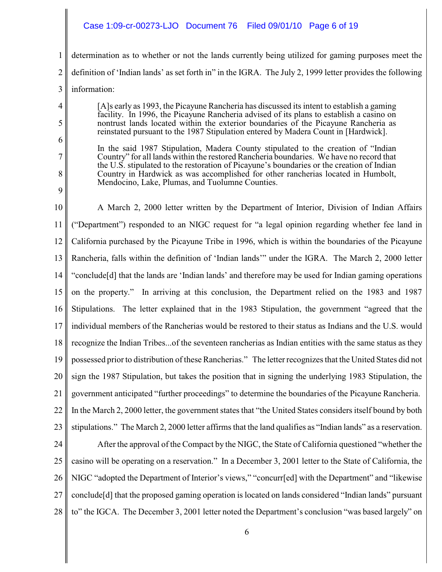### Case 1:09-cr-00273-LJO Document 76 Filed 09/01/10 Page 6 of 19

1 2 3 determination as to whether or not the lands currently being utilized for gaming purposes meet the definition of 'Indian lands' as set forth in" in the IGRA. The July 2, 1999 letter provides the following information:

- [A]s early as 1993, the Picayune Rancheria has discussed its intent to establish a gaming facility. In 1996, the Picayune Rancheria advised of its plans to establish a casino on nontrust lands located within the exterior boundaries of the Picayune Rancheria as reinstated pursuant to the 1987 Stipulation entered by Madera Count in [Hardwick].
- 6 7

4

5

8

9

In the said 1987 Stipulation, Madera County stipulated to the creation of "Indian Country" for all lands within the restored Rancheria boundaries. We have no record that the U.S. stipulated to the restoration of Picayune's boundaries or the creation of Indian Country in Hardwick as was accomplished for other rancherias located in Humbolt, Mendocino, Lake, Plumas, and Tuolumne Counties.

10 11 12 13 14 15 16 17 18 19 20 21 22 23 A March 2, 2000 letter written by the Department of Interior, Division of Indian Affairs ("Department") responded to an NIGC request for "a legal opinion regarding whether fee land in California purchased by the Picayune Tribe in 1996, which is within the boundaries of the Picayune Rancheria, falls within the definition of 'Indian lands'" under the IGRA. The March 2, 2000 letter "conclude[d] that the lands are 'Indian lands' and therefore may be used for Indian gaming operations on the property." In arriving at this conclusion, the Department relied on the 1983 and 1987 Stipulations. The letter explained that in the 1983 Stipulation, the government "agreed that the individual members of the Rancherias would be restored to their status as Indians and the U.S. would recognize the Indian Tribes...of the seventeen rancherias as Indian entities with the same status as they possessed prior to distribution of these Rancherias." The letter recognizes that the United States did not sign the 1987 Stipulation, but takes the position that in signing the underlying 1983 Stipulation, the government anticipated "further proceedings" to determine the boundaries of the Picayune Rancheria. In the March 2, 2000 letter, the government states that "the United States considers itself bound by both stipulations." The March 2, 2000 letter affirms that the land qualifies as "Indian lands" as a reservation.

24 25 26 27 28 After the approval of the Compact by the NIGC, the State of California questioned "whether the casino will be operating on a reservation." In a December 3, 2001 letter to the State of California, the NIGC "adopted the Department of Interior's views," "concurr[ed] with the Department" and "likewise conclude[d] that the proposed gaming operation is located on lands considered "Indian lands" pursuant to" the IGCA. The December 3, 2001 letter noted the Department's conclusion "was based largely" on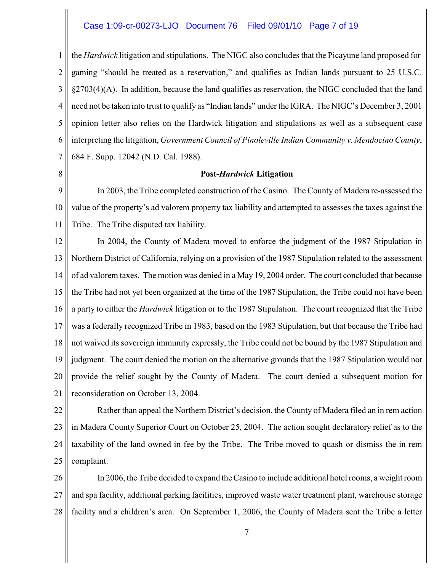#### Case 1:09-cr-00273-LJO Document 76 Filed 09/01/10 Page 7 of 19

1 2 3 4 5 6 7 the *Hardwick* litigation and stipulations. The NIGC also concludes that the Picayune land proposed for gaming "should be treated as a reservation," and qualifies as Indian lands pursuant to 25 U.S.C. §2703(4)(A). In addition, because the land qualifies as reservation, the NIGC concluded that the land need not be taken into trust to qualify as "Indian lands" under the IGRA. The NIGC's December 3, 2001 opinion letter also relies on the Hardwick litigation and stipulations as well as a subsequent case interpreting the litigation, *Government Council of Pinoleville Indian Community v. Mendocino County*, 684 F. Supp. 12042 (N.D. Cal. 1988).

8

#### **Post-***Hardwick* **Litigation**

9 10 11 In 2003, the Tribe completed construction of the Casino. The County of Madera re-assessed the value of the property's ad valorem property tax liability and attempted to assesses the taxes against the Tribe. The Tribe disputed tax liability.

12 13 14 15 16 17 18 19 20 21 In 2004, the County of Madera moved to enforce the judgment of the 1987 Stipulation in Northern District of California, relying on a provision of the 1987 Stipulation related to the assessment of ad valorem taxes. The motion was denied in a May 19, 2004 order. The court concluded that because the Tribe had not yet been organized at the time of the 1987 Stipulation, the Tribe could not have been a party to either the *Hardwick* litigation or to the 1987 Stipulation. The court recognized that the Tribe was a federally recognized Tribe in 1983, based on the 1983 Stipulation, but that because the Tribe had not waived its sovereign immunity expressly, the Tribe could not be bound by the 1987 Stipulation and judgment. The court denied the motion on the alternative grounds that the 1987 Stipulation would not provide the relief sought by the County of Madera. The court denied a subsequent motion for reconsideration on October 13, 2004.

22

23 24 25 Rather than appeal the Northern District's decision, the County of Madera filed an in rem action in Madera County Superior Court on October 25, 2004. The action sought declaratory relief as to the taxability of the land owned in fee by the Tribe. The Tribe moved to quash or dismiss the in rem complaint.

26 27 28 In 2006, the Tribe decided to expand the Casino to include additional hotel rooms, a weight room and spa facility, additional parking facilities, improved waste water treatment plant, warehouse storage facility and a children's area. On September 1, 2006, the County of Madera sent the Tribe a letter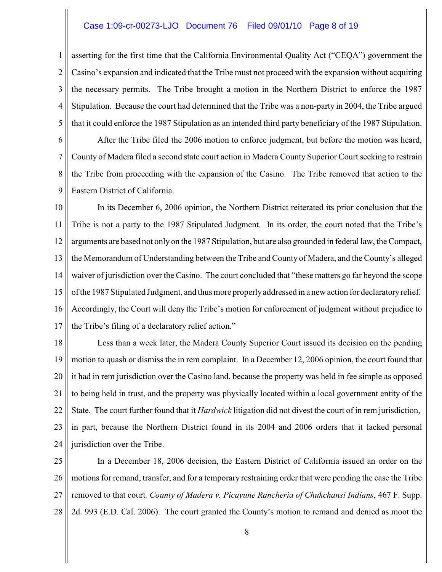#### Case 1:09-cr-00273-LJO Document 76 Filed 09/01/10 Page 8 of 19

1 2 3 4 5 asserting for the first time that the California Environmental Quality Act ("CEQA") government the Casino's expansion and indicated that the Tribe must not proceed with the expansion without acquiring the necessary permits. The Tribe brought a motion in the Northern District to enforce the 1987 Stipulation. Because the court had determined that the Tribe was a non-party in 2004, the Tribe argued that it could enforce the 1987 Stipulation as an intended third party beneficiary of the 1987 Stipulation.

6 7 8 9 After the Tribe filed the 2006 motion to enforce judgment, but before the motion was heard, County of Madera filed a second state court action in Madera County Superior Court seeking to restrain the Tribe from proceeding with the expansion of the Casino. The Tribe removed that action to the Eastern District of California.

10 11 12 13 14 15 16 17 In its December 6, 2006 opinion, the Northern District reiterated its prior conclusion that the Tribe is not a party to the 1987 Stipulated Judgment. In its order, the court noted that the Tribe's arguments are based not only on the 1987 Stipulation, but are also grounded in federal law, the Compact, the Memorandum of Understanding between the Tribe and County of Madera, and the County's alleged waiver of jurisdiction over the Casino. The court concluded that "these matters go far beyond the scope of the 1987 Stipulated Judgment, and thus more properlyaddressed in a new action for declaratoryrelief. Accordingly, the Court will deny the Tribe's motion for enforcement of judgment without prejudice to the Tribe's filing of a declaratory relief action."

18 19 20 21 22 23 24 Less than a week later, the Madera County Superior Court issued its decision on the pending motion to quash or dismiss the in rem complaint. In a December 12, 2006 opinion, the court found that it had in rem jurisdiction over the Casino land, because the property was held in fee simple as opposed to being held in trust, and the property was physically located within a local government entity of the State. The court further found that it *Hardwick* litigation did not divest the court of in rem jurisdiction, in part, because the Northern District found in its 2004 and 2006 orders that it lacked personal jurisdiction over the Tribe.

25 26 27 28 In a December 18, 2006 decision, the Eastern District of California issued an order on the motions for remand, transfer, and for a temporary restraining order that were pending the case the Tribe removed to that court*. County of Madera v. Picayune Rancheria of Chukchansi Indians*, 467 F. Supp. 2d. 993 (E.D. Cal. 2006). The court granted the County's motion to remand and denied as moot the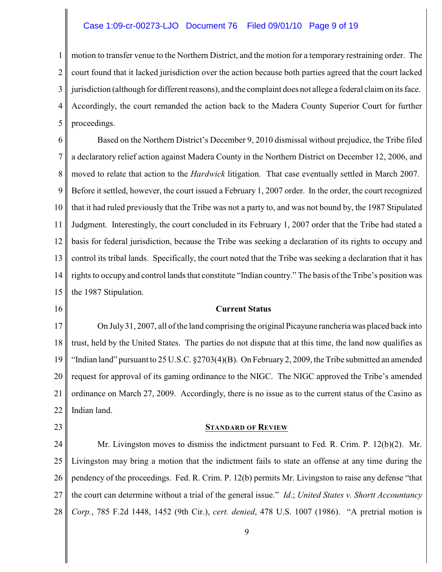#### Case 1:09-cr-00273-LJO Document 76 Filed 09/01/10 Page 9 of 19

1 2 3 4 5 motion to transfer venue to the Northern District, and the motion for a temporary restraining order. The court found that it lacked jurisdiction over the action because both parties agreed that the court lacked jurisdiction (although for different reasons), and the complaint does not allege a federal claim on its face. Accordingly, the court remanded the action back to the Madera County Superior Court for further proceedings.

6 7 8 9 10 11 12 13 14 15 Based on the Northern District's December 9, 2010 dismissal without prejudice, the Tribe filed a declaratory relief action against Madera County in the Northern District on December 12, 2006, and moved to relate that action to the *Hardwick* litigation. That case eventually settled in March 2007. Before it settled, however, the court issued a February 1, 2007 order. In the order, the court recognized that it had ruled previously that the Tribe was not a party to, and was not bound by, the 1987 Stipulated Judgment. Interestingly, the court concluded in its February 1, 2007 order that the Tribe had stated a basis for federal jurisdiction, because the Tribe was seeking a declaration of its rights to occupy and control its tribal lands. Specifically, the court noted that the Tribe was seeking a declaration that it has rights to occupy and control lands that constitute "Indian country." The basis of the Tribe's position was the 1987 Stipulation.

16

#### **Current Status**

17 18 19 20 21 22 On July 31, 2007, all of the land comprising the original Picayune rancheria was placed back into trust, held by the United States. The parties do not dispute that at this time, the land now qualifies as "Indian land" pursuant to 25 U.S.C. §2703(4)(B). On February 2, 2009, the Tribe submitted an amended request for approval of its gaming ordinance to the NIGC. The NIGC approved the Tribe's amended ordinance on March 27, 2009. Accordingly, there is no issue as to the current status of the Casino as Indian land.

23

#### **STANDARD OF REVIEW**

24 25 26 27 28 Mr. Livingston moves to dismiss the indictment pursuant to Fed. R. Crim. P. 12(b)(2). Mr. Livingston may bring a motion that the indictment fails to state an offense at any time during the pendency of the proceedings. Fed. R. Crim. P. 12(b) permits Mr. Livingston to raise any defense "that the court can determine without a trial of the general issue." *Id*.; *United States v. Shortt Accountancy Corp.*, 785 F.2d 1448, 1452 (9th Cir.), *cert. denied*, 478 U.S. 1007 (1986). "A pretrial motion is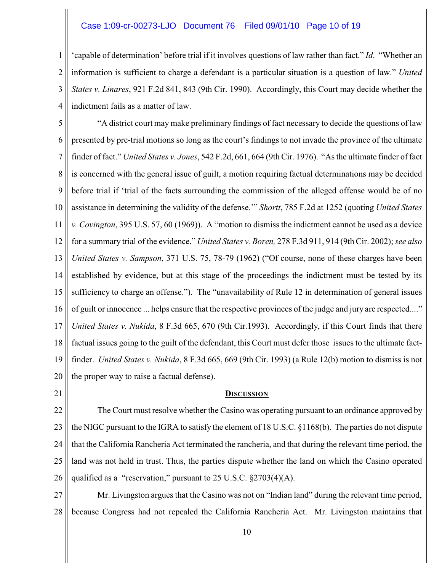#### Case 1:09-cr-00273-LJO Document 76 Filed 09/01/10 Page 10 of 19

1 2 3 4 'capable of determination' before trial if it involves questions of law rather than fact." *Id*. "Whether an information is sufficient to charge a defendant is a particular situation is a question of law." *United States v. Linares*, 921 F.2d 841, 843 (9th Cir. 1990). Accordingly, this Court may decide whether the indictment fails as a matter of law.

5 6 7 8 9 10 11 12 13 14 15 16 17 18 19 20 "A district court may make preliminary findings of fact necessary to decide the questions of law presented by pre-trial motions so long as the court's findings to not invade the province of the ultimate finder of fact." *United States v. Jones*, 542 F.2d, 661, 664 (9th Cir. 1976). "As the ultimate finder of fact is concerned with the general issue of guilt, a motion requiring factual determinations may be decided before trial if 'trial of the facts surrounding the commission of the alleged offense would be of no assistance in determining the validity of the defense.'" *Shortt*, 785 F.2d at 1252 (quoting *United States v. Covington*, 395 U.S. 57, 60 (1969)). A "motion to dismiss the indictment cannot be used as a device for a summary trial of the evidence." *United States v. Boren,* 278 F.3d 911, 914 (9th Cir. 2002);*see also United States v. Sampson*, 371 U.S. 75, 78-79 (1962) ("Of course, none of these charges have been established by evidence, but at this stage of the proceedings the indictment must be tested by its sufficiency to charge an offense."). The "unavailability of Rule 12 in determination of general issues of guilt or innocence ... helps ensure that the respective provinces of the judge and jury are respected...." *United States v. Nukida*, 8 F.3d 665, 670 (9th Cir.1993). Accordingly, if this Court finds that there factual issues going to the guilt of the defendant, this Court must defer those issues to the ultimate factfinder. *United States v. Nukida*, 8 F.3d 665, 669 (9th Cir. 1993) (a Rule 12(b) motion to dismiss is not the proper way to raise a factual defense).

21

#### **DISCUSSION**

22 23 24 25 26 The Court must resolve whether the Casino was operating pursuant to an ordinance approved by the NIGC pursuant to the IGRA to satisfy the element of 18 U.S.C. §1168(b). The parties do not dispute that the California Rancheria Act terminated the rancheria, and that during the relevant time period, the land was not held in trust. Thus, the parties dispute whether the land on which the Casino operated qualified as a "reservation," pursuant to 25 U.S.C. §2703(4)(A).

27 28 Mr. Livingston argues that the Casino was not on "Indian land" during the relevant time period, because Congress had not repealed the California Rancheria Act. Mr. Livingston maintains that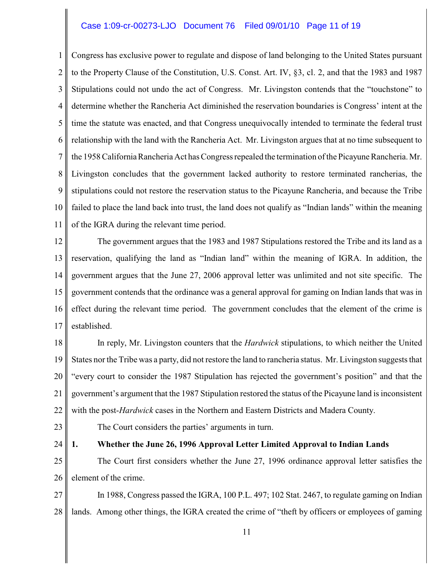#### Case 1:09-cr-00273-LJO Document 76 Filed 09/01/10 Page 11 of 19

1 2 3 4 5 6 7 8 9 10 11 Congress has exclusive power to regulate and dispose of land belonging to the United States pursuant to the Property Clause of the Constitution, U.S. Const. Art. IV, §3, cl. 2, and that the 1983 and 1987 Stipulations could not undo the act of Congress. Mr. Livingston contends that the "touchstone" to determine whether the Rancheria Act diminished the reservation boundaries is Congress' intent at the time the statute was enacted, and that Congress unequivocally intended to terminate the federal trust relationship with the land with the Rancheria Act. Mr. Livingston argues that at no time subsequent to the 1958 California Rancheria Act has Congress repealed the termination of the Picayune Rancheria. Mr. Livingston concludes that the government lacked authority to restore terminated rancherias, the stipulations could not restore the reservation status to the Picayune Rancheria, and because the Tribe failed to place the land back into trust, the land does not qualify as "Indian lands" within the meaning of the IGRA during the relevant time period.

12 13 14 15 16 17 The government argues that the 1983 and 1987 Stipulations restored the Tribe and its land as a reservation, qualifying the land as "Indian land" within the meaning of IGRA. In addition, the government argues that the June 27, 2006 approval letter was unlimited and not site specific. The government contends that the ordinance was a general approval for gaming on Indian lands that was in effect during the relevant time period. The government concludes that the element of the crime is established.

18 19 20 21 22 In reply, Mr. Livingston counters that the *Hardwick* stipulations, to which neither the United States nor the Tribe was a party, did not restore the land to rancheria status. Mr. Livingston suggests that "every court to consider the 1987 Stipulation has rejected the government's position" and that the government's argument that the 1987 Stipulation restored the status of the Picayune land is inconsistent with the post-*Hardwick* cases in the Northern and Eastern Districts and Madera County.

23

The Court considers the parties' arguments in turn.

#### 24 **1. Whether the June 26, 1996 Approval Letter Limited Approval to Indian Lands**

25 26 The Court first considers whether the June 27, 1996 ordinance approval letter satisfies the element of the crime.

27 28 In 1988, Congress passed the IGRA, 100 P.L. 497; 102 Stat. 2467, to regulate gaming on Indian lands. Among other things, the IGRA created the crime of "theft by officers or employees of gaming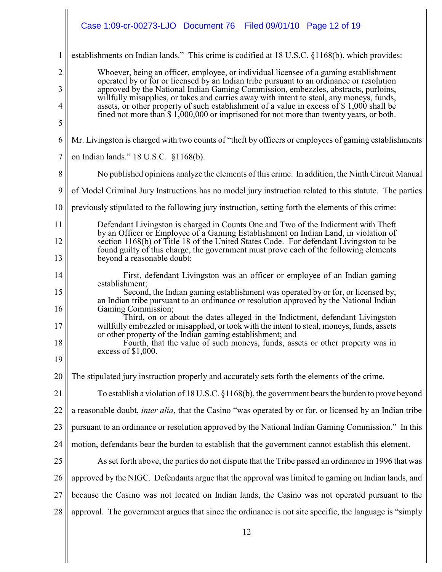|                  | Case 1:09-cr-00273-LJO Document 76<br>Filed 09/01/10 Page 12 of 19                                                                                                                                           |
|------------------|--------------------------------------------------------------------------------------------------------------------------------------------------------------------------------------------------------------|
| $\mathbf{1}$     | establishments on Indian lands." This crime is codified at 18 U.S.C. §1168(b), which provides:                                                                                                               |
| $\overline{2}$   | Whoever, being an officer, employee, or individual licensee of a gaming establishment<br>operated by or for or licensed by an Indian tribe pursuant to an ordinance or resolution                            |
| 3                | approved by the National Indian Gaming Commission, embezzles, abstracts, purloins,<br>willfully misapplies, or takes and carries away with intent to steal, any moneys, funds,                               |
| $\overline{4}$   | assets, or other property of such establishment of a value in excess of \$1,000 shall be<br>fined not more than \$1,000,000 or imprisoned for not more than twenty years, or both.                           |
| 5                |                                                                                                                                                                                                              |
| 6                | Mr. Livingston is charged with two counts of "theft by officers or employees of gaming establishments"                                                                                                       |
| $\boldsymbol{7}$ | on Indian lands." 18 U.S.C. §1168(b).                                                                                                                                                                        |
| 8                | No published opinions analyze the elements of this crime. In addition, the Ninth Circuit Manual                                                                                                              |
| 9                | of Model Criminal Jury Instructions has no model jury instruction related to this statute. The parties                                                                                                       |
| 10               | previously stipulated to the following jury instruction, setting forth the elements of this crime:                                                                                                           |
| 11               | Defendant Livingston is charged in Counts One and Two of the Indictment with Theft<br>by an Officer or Employee of a Gaming Establishment on Indian Land, in violation of                                    |
| 12<br>13         | section 1168(b) of Title 18 of the United States Code. For defendant Livingston to be<br>found guilty of this charge, the government must prove each of the following elements<br>beyond a reasonable doubt: |
| 14               | First, defendant Livingston was an officer or employee of an Indian gaming                                                                                                                                   |
| 15               | establishment;<br>Second, the Indian gaming establishment was operated by or for, or licensed by,                                                                                                            |
| 16               | an Indian tribe pursuant to an ordinance or resolution approved by the National Indian<br>Gaming Commission;                                                                                                 |
| 17               | Third, on or about the dates alleged in the Indictment, defendant Livingston<br>will fully embezzled or misapplied, or took with the intent to steal, moneys, funds, assets                                  |
| 18               | or other property of the Indian gaming establishment; and<br>Fourth, that the value of such moneys, funds, assets or other property was in                                                                   |
| 19               | excess of $$1,000$ .                                                                                                                                                                                         |
| 20               | The stipulated jury instruction properly and accurately sets forth the elements of the crime.                                                                                                                |
| 21               | To establish a violation of 18 U.S.C. $\S1168(b)$ , the government bears the burden to prove beyond                                                                                                          |
| 22               | a reasonable doubt, <i>inter alia</i> , that the Casino "was operated by or for, or licensed by an Indian tribe                                                                                              |
| 23               | pursuant to an ordinance or resolution approved by the National Indian Gaming Commission." In this                                                                                                           |
| 24               | motion, defendants bear the burden to establish that the government cannot establish this element.                                                                                                           |
| 25               | As set forth above, the parties do not dispute that the Tribe passed an ordinance in 1996 that was                                                                                                           |
| 26               | approved by the NIGC. Defendants argue that the approval was limited to gaming on Indian lands, and                                                                                                          |
| 27               | because the Casino was not located on Indian lands, the Casino was not operated pursuant to the                                                                                                              |
| 28               | approval. The government argues that since the ordinance is not site specific, the language is "simply                                                                                                       |
|                  | 12                                                                                                                                                                                                           |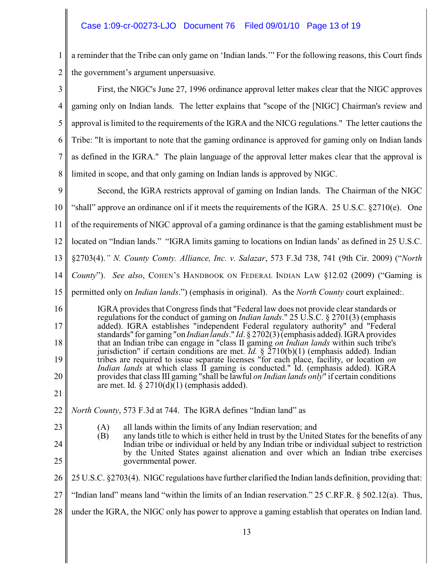# Case 1:09-cr-00273-LJO Document 76 Filed 09/01/10 Page 13 of 19

1 2 a reminder that the Tribe can only game on 'Indian lands.'" For the following reasons, this Court finds the government's argument unpersuasive.

| 3                                | First, the NIGC's June 27, 1996 ordinance approval letter makes clear that the NIGC approves                                                                                                                                                                                                                                                                                                                                                                                                                                                                                                                                                                                                                                                                                                                                                                                                                                   |
|----------------------------------|--------------------------------------------------------------------------------------------------------------------------------------------------------------------------------------------------------------------------------------------------------------------------------------------------------------------------------------------------------------------------------------------------------------------------------------------------------------------------------------------------------------------------------------------------------------------------------------------------------------------------------------------------------------------------------------------------------------------------------------------------------------------------------------------------------------------------------------------------------------------------------------------------------------------------------|
| $\overline{4}$                   | gaming only on Indian lands. The letter explains that "scope of the [NIGC] Chairman's review and                                                                                                                                                                                                                                                                                                                                                                                                                                                                                                                                                                                                                                                                                                                                                                                                                               |
| 5                                | approval is limited to the requirements of the IGRA and the NICG regulations." The letter cautions the                                                                                                                                                                                                                                                                                                                                                                                                                                                                                                                                                                                                                                                                                                                                                                                                                         |
| 6                                | Tribe: "It is important to note that the gaming ordinance is approved for gaming only on Indian lands                                                                                                                                                                                                                                                                                                                                                                                                                                                                                                                                                                                                                                                                                                                                                                                                                          |
| $\overline{7}$                   | as defined in the IGRA." The plain language of the approval letter makes clear that the approval is                                                                                                                                                                                                                                                                                                                                                                                                                                                                                                                                                                                                                                                                                                                                                                                                                            |
| 8                                | limited in scope, and that only gaming on Indian lands is approved by NIGC.                                                                                                                                                                                                                                                                                                                                                                                                                                                                                                                                                                                                                                                                                                                                                                                                                                                    |
| 9                                | Second, the IGRA restricts approval of gaming on Indian lands. The Chairman of the NIGC                                                                                                                                                                                                                                                                                                                                                                                                                                                                                                                                                                                                                                                                                                                                                                                                                                        |
| 10                               | "shall" approve an ordinance onl if it meets the requirements of the IGRA. 25 U.S.C. $\S2710(e)$ . One                                                                                                                                                                                                                                                                                                                                                                                                                                                                                                                                                                                                                                                                                                                                                                                                                         |
| 11                               | of the requirements of NIGC approval of a gaming ordinance is that the gaming establishment must be                                                                                                                                                                                                                                                                                                                                                                                                                                                                                                                                                                                                                                                                                                                                                                                                                            |
| 12                               | located on "Indian lands." "IGRA limits gaming to locations on Indian lands' as defined in 25 U.S.C.                                                                                                                                                                                                                                                                                                                                                                                                                                                                                                                                                                                                                                                                                                                                                                                                                           |
| 13                               | §2703(4)." N. County Comty. Alliance, Inc. v. Salazar, 573 F.3d 738, 741 (9th Cir. 2009) ("North                                                                                                                                                                                                                                                                                                                                                                                                                                                                                                                                                                                                                                                                                                                                                                                                                               |
| 14                               | County"). See also, COHEN'S HANDBOOK ON FEDERAL INDIAN LAW §12.02 (2009) ("Gaming is                                                                                                                                                                                                                                                                                                                                                                                                                                                                                                                                                                                                                                                                                                                                                                                                                                           |
| 15                               | permitted only on <i>Indian lands</i> .") (emphasis in original). As the <i>North County</i> court explained:.                                                                                                                                                                                                                                                                                                                                                                                                                                                                                                                                                                                                                                                                                                                                                                                                                 |
| 16<br>17<br>18<br>19<br>20<br>21 | IGRA provides that Congress finds that "Federal law does not provide clear standards or<br>regulations for the conduct of gaming on <i>Indian lands</i> ." 25 U.S.C. § 2701(3) (emphasis<br>added). IGRA establishes "independent Federal regulatory authority" and "Federal<br>standards" for gaming "on <i>Indian lands</i> ." <i>Id.</i> § 2702(3) (emphasis added). IGRA provides<br>that an Indian tribe can engage in "class II gaming on Indian lands within such tribe's<br>jurisdiction" if certain conditions are met. Id. $\S$ $2710(b)(1)$ (emphasis added). Indian<br>tribes are required to issue separate licenses "for each place, facility, or location on<br><i>Indian lands</i> at which class II gaming is conducted." Id. (emphasis added). IGRA<br>provides that class III gaming "shall be lawful <i>on Indian lands only</i> " if certain conditions<br>are met. Id. $\S 2710(d)(1)$ (emphasis added). |
| 22 <sup>1</sup>                  | North County, 573 F.3d at 744. The IGRA defines "Indian land" as                                                                                                                                                                                                                                                                                                                                                                                                                                                                                                                                                                                                                                                                                                                                                                                                                                                               |
| 23                               | all lands within the limits of any Indian reservation; and<br>(A)                                                                                                                                                                                                                                                                                                                                                                                                                                                                                                                                                                                                                                                                                                                                                                                                                                                              |
| 24                               | (B)<br>any lands title to which is either held in trust by the United States for the benefits of any<br>Indian tribe or individual or held by any Indian tribe or individual subject to restriction<br>by the United States against alienation and over which an Indian tribe exercises                                                                                                                                                                                                                                                                                                                                                                                                                                                                                                                                                                                                                                        |
| 25                               | governmental power.                                                                                                                                                                                                                                                                                                                                                                                                                                                                                                                                                                                                                                                                                                                                                                                                                                                                                                            |
| 26                               | 25 U.S.C. §2703(4). NIGC regulations have further clarified the Indian lands definition, providing that:                                                                                                                                                                                                                                                                                                                                                                                                                                                                                                                                                                                                                                                                                                                                                                                                                       |
| 27                               | "Indian land" means land "within the limits of an Indian reservation." 25 C.R.F.R. § 502.12(a). Thus,                                                                                                                                                                                                                                                                                                                                                                                                                                                                                                                                                                                                                                                                                                                                                                                                                          |
| 28                               | under the IGRA, the NIGC only has power to approve a gaming establish that operates on Indian land.                                                                                                                                                                                                                                                                                                                                                                                                                                                                                                                                                                                                                                                                                                                                                                                                                            |
|                                  | 1 <sup>2</sup>                                                                                                                                                                                                                                                                                                                                                                                                                                                                                                                                                                                                                                                                                                                                                                                                                                                                                                                 |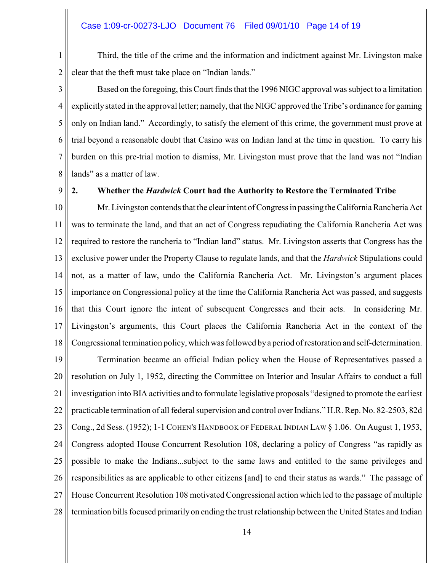#### Case 1:09-cr-00273-LJO Document 76 Filed 09/01/10 Page 14 of 19

1 2 Third, the title of the crime and the information and indictment against Mr. Livingston make clear that the theft must take place on "Indian lands."

3 4 5 6 7 8 Based on the foregoing, this Court finds that the 1996 NIGC approval was subject to a limitation explicitly stated in the approval letter; namely, that the NIGC approved the Tribe's ordinance for gaming only on Indian land." Accordingly, to satisfy the element of this crime, the government must prove at trial beyond a reasonable doubt that Casino was on Indian land at the time in question. To carry his burden on this pre-trial motion to dismiss, Mr. Livingston must prove that the land was not "Indian lands" as a matter of law.

9

## **2. Whether the** *Hardwick* **Court had the Authority to Restore the Terminated Tribe**

10 11 12 13 14 15 16 17 18 Mr. Livingston contends that the clear intent of Congress in passing the California Rancheria Act was to terminate the land, and that an act of Congress repudiating the California Rancheria Act was required to restore the rancheria to "Indian land" status. Mr. Livingston asserts that Congress has the exclusive power under the Property Clause to regulate lands, and that the *Hardwick* Stipulations could not, as a matter of law, undo the California Rancheria Act. Mr. Livingston's argument places importance on Congressional policy at the time the California Rancheria Act was passed, and suggests that this Court ignore the intent of subsequent Congresses and their acts. In considering Mr. Livingston's arguments, this Court places the California Rancheria Act in the context of the Congressional termination policy, which was followed bya period of restoration and self-determination.

19 20 21 22 23 24 25 26 27 28 Termination became an official Indian policy when the House of Representatives passed a resolution on July 1, 1952, directing the Committee on Interior and Insular Affairs to conduct a full investigation into BIA activities and to formulate legislative proposals "designed to promote the earliest practicable termination of all federal supervision and control over Indians." H.R. Rep. No. 82-2503, 82d Cong., 2d Sess. (1952); 1-1COHEN'S HANDBOOK OF FEDERAL INDIAN LAW § 1.06. On August 1, 1953, Congress adopted House Concurrent Resolution 108, declaring a policy of Congress "as rapidly as possible to make the Indians...subject to the same laws and entitled to the same privileges and responsibilities as are applicable to other citizens [and] to end their status as wards." The passage of House Concurrent Resolution 108 motivated Congressional action which led to the passage of multiple termination bills focused primarily on ending the trust relationship between the United States and Indian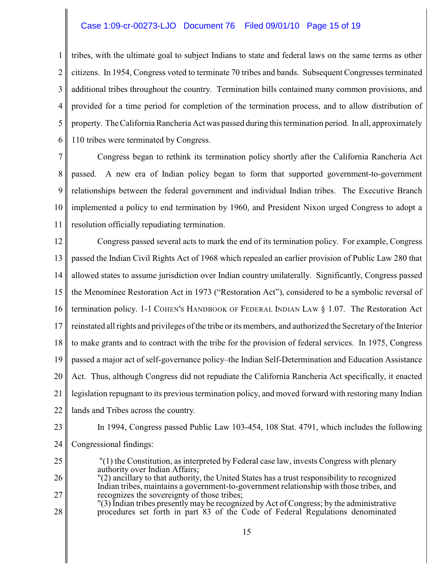#### Case 1:09-cr-00273-LJO Document 76 Filed 09/01/10 Page 15 of 19

1 2 3 4 5 6 tribes, with the ultimate goal to subject Indians to state and federal laws on the same terms as other citizens. In 1954, Congress voted to terminate 70 tribes and bands. Subsequent Congresses terminated additional tribes throughout the country. Termination bills contained many common provisions, and provided for a time period for completion of the termination process, and to allow distribution of property. The California Rancheria Act was passed during this termination period. In all, approximately 110 tribes were terminated by Congress.

7 8 9 10 11 Congress began to rethink its termination policy shortly after the California Rancheria Act passed. A new era of Indian policy began to form that supported government-to-government relationships between the federal government and individual Indian tribes. The Executive Branch implemented a policy to end termination by 1960, and President Nixon urged Congress to adopt a resolution officially repudiating termination.

12 13 14 15 16 17 18 19 20 21 22 Congress passed several acts to mark the end of its termination policy. For example, Congress passed the Indian Civil Rights Act of 1968 which repealed an earlier provision of Public Law 280 that allowed states to assume jurisdiction over Indian country unilaterally. Significantly, Congress passed the Menominee Restoration Act in 1973 ("Restoration Act"), considered to be a symbolic reversal of termination policy. 1-1 COHEN'S HANDBOOK OF FEDERAL INDIAN LAW § 1.07. The Restoration Act reinstated all rights and privileges of the tribe or its members, and authorized the Secretary of the Interior to make grants and to contract with the tribe for the provision of federal services. In 1975, Congress passed a major act of self-governance policy–the Indian Self-Determination and Education Assistance Act. Thus, although Congress did not repudiate the California Rancheria Act specifically, it enacted legislation repugnant to its previous termination policy, and moved forward with restoring many Indian lands and Tribes across the country.

23

24 In 1994, Congress passed Public Law 103-454, 108 Stat. 4791, which includes the following Congressional findings:

- 25 "(1) the Constitution, as interpreted by Federal case law, invests Congress with plenary authority over Indian Affairs;
- 26 27 "(2) ancillary to that authority, the United States has a trust responsibility to recognized Indian tribes, maintains a government-to-government relationship with those tribes, and recognizes the sovereignty of those tribes;
- 28 "(3) Indian tribes presently may be recognized by Act of Congress; by the administrative procedures set forth in part 83 of the Code of Federal Regulations denominated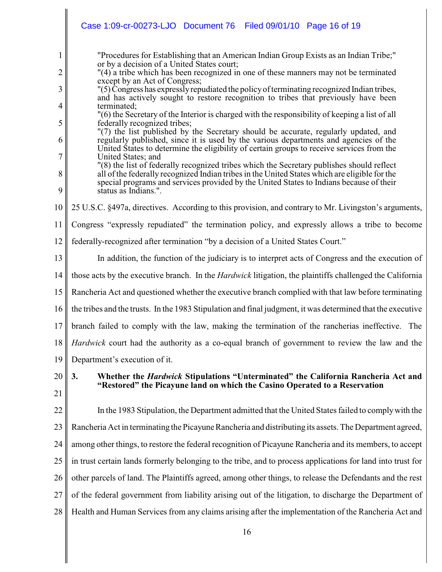|                                                                                  | Case 1:09-cr-00273-LJO Document 76<br>Filed 09/01/10 Page 16 of 19                                                                                                                                                                                                                                                                                                                                                                                                                                                                                                                                                                                                                                                                                                                                                                                                                                                                                                                                                                                                                                                                                                                                                    |
|----------------------------------------------------------------------------------|-----------------------------------------------------------------------------------------------------------------------------------------------------------------------------------------------------------------------------------------------------------------------------------------------------------------------------------------------------------------------------------------------------------------------------------------------------------------------------------------------------------------------------------------------------------------------------------------------------------------------------------------------------------------------------------------------------------------------------------------------------------------------------------------------------------------------------------------------------------------------------------------------------------------------------------------------------------------------------------------------------------------------------------------------------------------------------------------------------------------------------------------------------------------------------------------------------------------------|
| 1<br>$\overline{2}$<br>3<br>$\overline{4}$<br>5<br>6<br>$\overline{7}$<br>8<br>9 | "Procedures for Establishing that an American Indian Group Exists as an Indian Tribe;"<br>or by a decision of a United States court;<br>"(4) a tribe which has been recognized in one of these manners may not be terminated<br>except by an Act of Congress;<br>"(5) Congress has expressly repudiated the policy of terminating recognized Indian tribes,<br>and has actively sought to restore recognition to tribes that previously have been<br>terminated;<br>"(6) the Secretary of the Interior is charged with the responsibility of keeping a list of all<br>federally recognized tribes;<br>"(7) the list published by the Secretary should be accurate, regularly updated, and<br>regularly published, since it is used by the various departments and agencies of the<br>United States to determine the eligibility of certain groups to receive services from the<br>United States; and<br>"(8) the list of federally recognized tribes which the Secretary publishes should reflect<br>all of the federally recognized Indian tribes in the United States which are eligible for the<br>special programs and services provided by the United States to Indians because of their<br>status as Indians.". |
| 10                                                                               | 25 U.S.C. §497a, directives. According to this provision, and contrary to Mr. Livingston's arguments,                                                                                                                                                                                                                                                                                                                                                                                                                                                                                                                                                                                                                                                                                                                                                                                                                                                                                                                                                                                                                                                                                                                 |
| 11                                                                               | Congress "expressly repudiated" the termination policy, and expressly allows a tribe to become                                                                                                                                                                                                                                                                                                                                                                                                                                                                                                                                                                                                                                                                                                                                                                                                                                                                                                                                                                                                                                                                                                                        |
| 12                                                                               | federally-recognized after termination "by a decision of a United States Court."                                                                                                                                                                                                                                                                                                                                                                                                                                                                                                                                                                                                                                                                                                                                                                                                                                                                                                                                                                                                                                                                                                                                      |
| 13                                                                               | In addition, the function of the judiciary is to interpret acts of Congress and the execution of                                                                                                                                                                                                                                                                                                                                                                                                                                                                                                                                                                                                                                                                                                                                                                                                                                                                                                                                                                                                                                                                                                                      |
| 14                                                                               | those acts by the executive branch. In the <i>Hardwick</i> litigation, the plaintiffs challenged the California                                                                                                                                                                                                                                                                                                                                                                                                                                                                                                                                                                                                                                                                                                                                                                                                                                                                                                                                                                                                                                                                                                       |
| 15                                                                               | Rancheria Act and questioned whether the executive branch complied with that law before terminating                                                                                                                                                                                                                                                                                                                                                                                                                                                                                                                                                                                                                                                                                                                                                                                                                                                                                                                                                                                                                                                                                                                   |
| 16                                                                               | the tribes and the trusts. In the 1983 Stipulation and final judgment, it was determined that the executive                                                                                                                                                                                                                                                                                                                                                                                                                                                                                                                                                                                                                                                                                                                                                                                                                                                                                                                                                                                                                                                                                                           |
| 17                                                                               | branch failed to comply with the law, making the termination of the rancherias ineffective. The                                                                                                                                                                                                                                                                                                                                                                                                                                                                                                                                                                                                                                                                                                                                                                                                                                                                                                                                                                                                                                                                                                                       |
| 18                                                                               | <i>Hardwick</i> court had the authority as a co-equal branch of government to review the law and the                                                                                                                                                                                                                                                                                                                                                                                                                                                                                                                                                                                                                                                                                                                                                                                                                                                                                                                                                                                                                                                                                                                  |
| 19                                                                               | Department's execution of it.                                                                                                                                                                                                                                                                                                                                                                                                                                                                                                                                                                                                                                                                                                                                                                                                                                                                                                                                                                                                                                                                                                                                                                                         |
| 20<br>21                                                                         | Whether the <i>Hardwick</i> Stipulations "Unterminated" the California Rancheria Act and<br>3.<br>"Restored" the Picayune land on which the Casino Operated to a Reservation                                                                                                                                                                                                                                                                                                                                                                                                                                                                                                                                                                                                                                                                                                                                                                                                                                                                                                                                                                                                                                          |
| 22                                                                               | In the 1983 Stipulation, the Department admitted that the United States failed to comply with the                                                                                                                                                                                                                                                                                                                                                                                                                                                                                                                                                                                                                                                                                                                                                                                                                                                                                                                                                                                                                                                                                                                     |
| 23                                                                               | Rancheria Act in terminating the Picayune Rancheria and distributing its assets. The Department agreed,                                                                                                                                                                                                                                                                                                                                                                                                                                                                                                                                                                                                                                                                                                                                                                                                                                                                                                                                                                                                                                                                                                               |
| 24                                                                               | among other things, to restore the federal recognition of Picayune Rancheria and its members, to accept                                                                                                                                                                                                                                                                                                                                                                                                                                                                                                                                                                                                                                                                                                                                                                                                                                                                                                                                                                                                                                                                                                               |
| 25                                                                               | in trust certain lands formerly belonging to the tribe, and to process applications for land into trust for                                                                                                                                                                                                                                                                                                                                                                                                                                                                                                                                                                                                                                                                                                                                                                                                                                                                                                                                                                                                                                                                                                           |
| 26                                                                               | other parcels of land. The Plaintiffs agreed, among other things, to release the Defendants and the rest                                                                                                                                                                                                                                                                                                                                                                                                                                                                                                                                                                                                                                                                                                                                                                                                                                                                                                                                                                                                                                                                                                              |
| 27                                                                               | of the federal government from liability arising out of the litigation, to discharge the Department of                                                                                                                                                                                                                                                                                                                                                                                                                                                                                                                                                                                                                                                                                                                                                                                                                                                                                                                                                                                                                                                                                                                |
| 28                                                                               | Health and Human Services from any claims arising after the implementation of the Rancheria Act and                                                                                                                                                                                                                                                                                                                                                                                                                                                                                                                                                                                                                                                                                                                                                                                                                                                                                                                                                                                                                                                                                                                   |
|                                                                                  | 16                                                                                                                                                                                                                                                                                                                                                                                                                                                                                                                                                                                                                                                                                                                                                                                                                                                                                                                                                                                                                                                                                                                                                                                                                    |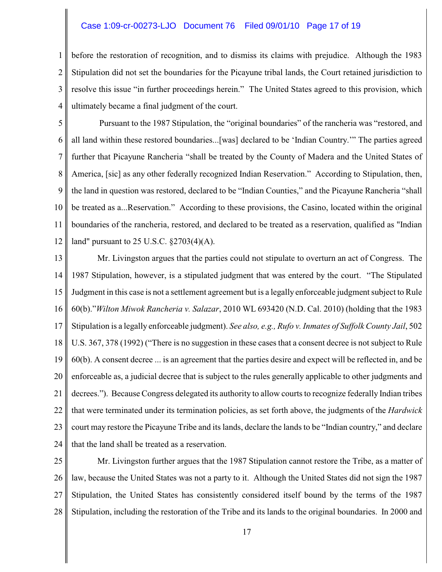#### Case 1:09-cr-00273-LJO Document 76 Filed 09/01/10 Page 17 of 19

1 2 3 4 before the restoration of recognition, and to dismiss its claims with prejudice. Although the 1983 Stipulation did not set the boundaries for the Picayune tribal lands, the Court retained jurisdiction to resolve this issue "in further proceedings herein." The United States agreed to this provision, which ultimately became a final judgment of the court.

5 6 7 8 9 10 11 12 Pursuant to the 1987 Stipulation, the "original boundaries" of the rancheria was "restored, and all land within these restored boundaries...[was] declared to be 'Indian Country.'" The parties agreed further that Picayune Rancheria "shall be treated by the County of Madera and the United States of America, [sic] as any other federally recognized Indian Reservation." According to Stipulation, then, the land in question was restored, declared to be "Indian Counties," and the Picayune Rancheria "shall be treated as a...Reservation." According to these provisions, the Casino, located within the original boundaries of the rancheria, restored, and declared to be treated as a reservation, qualified as "Indian land" pursuant to 25 U.S.C. §2703(4)(A).

13 14 15 16 17 18 19 20 21 22 23 24 Mr. Livingston argues that the parties could not stipulate to overturn an act of Congress. The 1987 Stipulation, however, is a stipulated judgment that was entered by the court. "The Stipulated Judgment in this case is not a settlement agreement but is a legally enforceable judgment subject to Rule 60(b)."*Wilton Miwok Rancheria v. Salazar*, 2010 WL 693420 (N.D. Cal. 2010) (holding that the 1983 Stipulation is a legally enforceable judgment). *See also, e.g., Rufo v. Inmates of Suffolk County Jail*, 502 U.S. 367, 378 (1992) ("There is no suggestion in these cases that a consent decree is not subject to Rule 60(b). A consent decree ... is an agreement that the parties desire and expect will be reflected in, and be enforceable as, a judicial decree that is subject to the rules generally applicable to other judgments and decrees."). Because Congress delegated its authority to allow courts to recognize federally Indian tribes that were terminated under its termination policies, as set forth above, the judgments of the *Hardwick* court may restore the Picayune Tribe and its lands, declare the lands to be "Indian country," and declare that the land shall be treated as a reservation.

25 26 27 28 Mr. Livingston further argues that the 1987 Stipulation cannot restore the Tribe, as a matter of law, because the United States was not a party to it. Although the United States did not sign the 1987 Stipulation, the United States has consistently considered itself bound by the terms of the 1987 Stipulation, including the restoration of the Tribe and its lands to the original boundaries. In 2000 and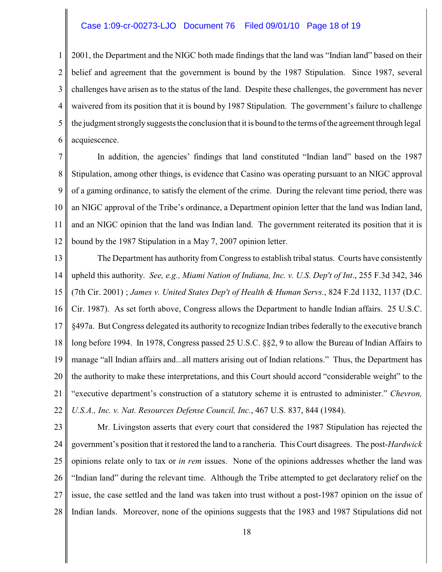#### Case 1:09-cr-00273-LJO Document 76 Filed 09/01/10 Page 18 of 19

1 2 3 4 5 6 2001, the Department and the NIGC both made findings that the land was "Indian land" based on their belief and agreement that the government is bound by the 1987 Stipulation. Since 1987, several challenges have arisen as to the status of the land. Despite these challenges, the government has never waivered from its position that it is bound by 1987 Stipulation. The government's failure to challenge the judgment stronglysuggests the conclusion that it is bound to the terms of the agreement through legal acquiescence.

7 8 9 10 11 12 In addition, the agencies' findings that land constituted "Indian land" based on the 1987 Stipulation, among other things, is evidence that Casino was operating pursuant to an NIGC approval of a gaming ordinance, to satisfy the element of the crime. During the relevant time period, there was an NIGC approval of the Tribe's ordinance, a Department opinion letter that the land was Indian land, and an NIGC opinion that the land was Indian land. The government reiterated its position that it is bound by the 1987 Stipulation in a May 7, 2007 opinion letter.

13 14 15 16 17 18 19 20 21 22 The Department has authority from Congress to establish tribal status. Courts have consistently upheld this authority. *See, e.g., Miami Nation of Indiana, Inc. v. U.S. Dep't of Int*., 255 F.3d 342, 346 (7th Cir. 2001) ; *James v. United States Dep't of Health & Human Servs.*, 824 F.2d 1132, 1137 (D.C. Cir. 1987). As set forth above, Congress allows the Department to handle Indian affairs. 25 U.S.C. §497a. But Congress delegated its authority to recognize Indian tribes federally to the executive branch long before 1994. In 1978, Congress passed 25 U.S.C. §§2, 9 to allow the Bureau of Indian Affairs to manage "all Indian affairs and...all matters arising out of Indian relations." Thus, the Department has the authority to make these interpretations, and this Court should accord "considerable weight" to the "executive department's construction of a statutory scheme it is entrusted to administer." *Chevron, U.S.A., Inc. v. Nat. Resources Defense Council, Inc.*, 467 U.S. 837, 844 (1984).

23 24 25 26 27 28 Mr. Livingston asserts that every court that considered the 1987 Stipulation has rejected the government's position that it restored the land to a rancheria. This Court disagrees. The post-*Hardwick* opinions relate only to tax or *in rem* issues. None of the opinions addresses whether the land was "Indian land" during the relevant time. Although the Tribe attempted to get declaratory relief on the issue, the case settled and the land was taken into trust without a post-1987 opinion on the issue of Indian lands. Moreover, none of the opinions suggests that the 1983 and 1987 Stipulations did not